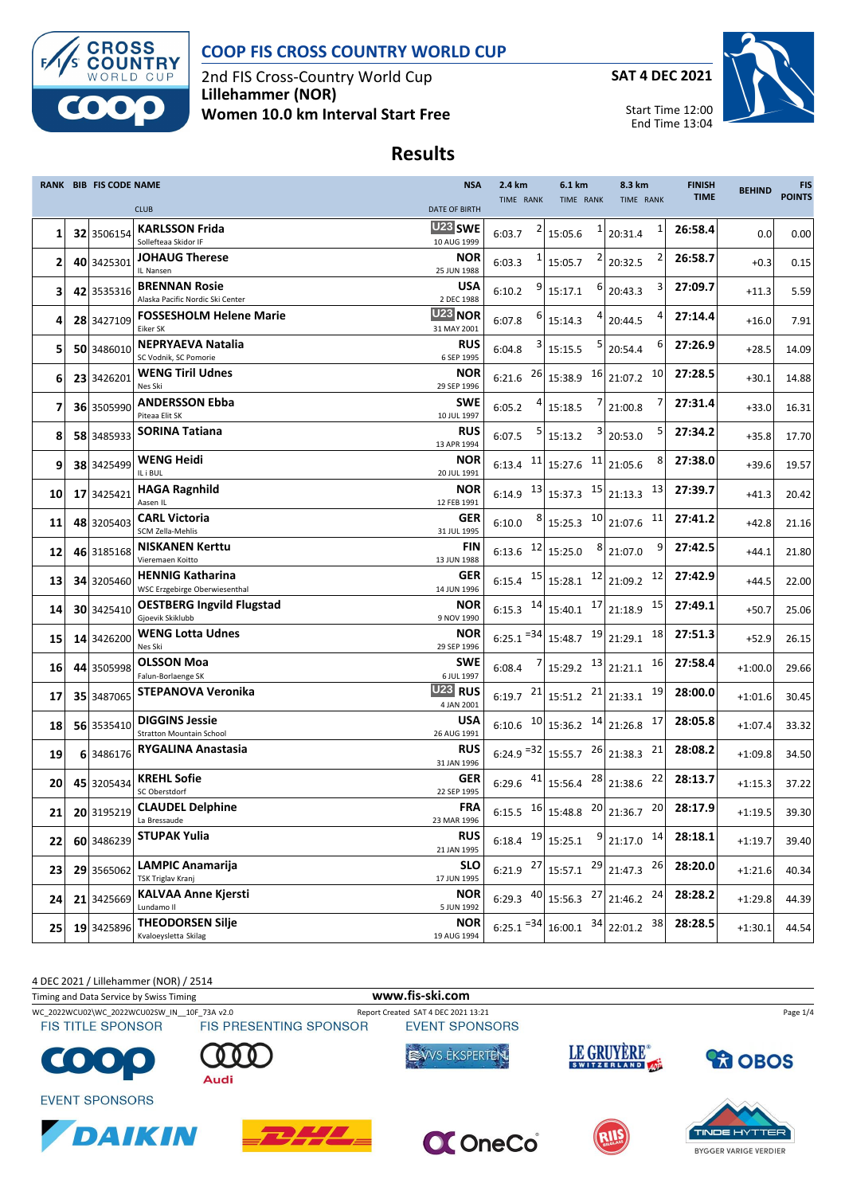

2nd FIS Cross-Country World Cup **Lillehammer (NOR) Women 10.0 km Interval Start Free** **SAT 4 DEC 2021**



Start Time 12:00 End Time 13:04

## **Results**

|    | RANK BIB FIS CODE NAME |                                                                    | <b>NSA</b>                               | 2.4 km        |    | 6.1 km                                                                                     | 8.3 km                                               | <b>FINISH</b> | BEHIND    | <b>FIS</b>    |
|----|------------------------|--------------------------------------------------------------------|------------------------------------------|---------------|----|--------------------------------------------------------------------------------------------|------------------------------------------------------|---------------|-----------|---------------|
|    |                        | <b>CLUB</b>                                                        | <b>DATE OF BIRTH</b>                     | TIME RANK     |    | TIME RANK                                                                                  | TIME RANK                                            | <b>TIME</b>   |           | <b>POINTS</b> |
| 1  | 32 3506154             | <b>KARLSSON Frida</b><br>Sollefteaa Skidor IF                      | U <sub>23</sub> SWE<br>10 AUG 1999       | 6:03.7        |    | $\mathbf{1}$<br>15:05.6                                                                    | 1<br>20:31.4                                         | 26:58.4       | 0.0       | 0.00          |
| 2  | 40 3425301             | <b>JOHAUG Therese</b><br>IL Nansen                                 | <b>NOR</b><br>25 JUN 1988                | 6:03.3        |    | 2<br>15:05.7                                                                               | 20:32.5                                              | 26:58.7       | $+0.3$    | 0.15          |
| З  | 42 3535316             | <b>BRENNAN Rosie</b><br>Alaska Pacific Nordic Ski Center           | <b>USA</b><br>2 DEC 1988                 | 6:10.2        |    | 6<br>15:17.1                                                                               | 20:43.3                                              | 27:09.7       | $+11.3$   | 5.59          |
| 4  | 28 3427109             | <b>FOSSESHOLM Helene Marie</b><br>Eiker SK                         | U23 NOR<br>31 MAY 2001                   | 6:07.8        |    | 4<br>15:14.3                                                                               | 20:44.5                                              | 27:14.4       | $+16.0$   | 7.91          |
| 5  | 50 3486010             | <b>NEPRYAEVA Natalia</b><br>SC Vodnik, SC Pomorie                  | <b>RUS</b><br>6 SEP 1995                 | 6:04.8        |    | 5<br>15:15.5                                                                               | 6<br>20:54.4                                         | 27:26.9       | $+28.5$   | 14.09         |
| 6  | 23 3426201             | <b>WENG Tiril Udnes</b><br>Nes Ski                                 | NOR<br>29 SEP 1996                       | 6:21.6        | 26 | 15:38.9                                                                                    | $16$ 21:07.2<br>10                                   | 27:28.5       | $+30.1$   | 14.88         |
| 7  | 36 3505990             | <b>ANDERSSON Ebba</b><br>Piteaa Elit SK                            | <b>SWE</b><br>10 JUL 1997                | 6:05.2        |    | 7<br>15:18.5                                                                               | 21:00.8                                              | 27:31.4       | $+33.0$   | 16.31         |
| 8  | 58 3485933             | <b>SORINA Tatiana</b>                                              | <b>RUS</b><br>13 APR 1994                | 6:07.5        |    | 3<br>15:13.2                                                                               | 5<br>20:53.0                                         | 27:34.2       | $+35.8$   | 17.70         |
| 9  | 38 3425499             | <b>WENG Heidi</b><br>IL i BUL                                      | <b>NOR</b><br>20 JUL 1991                |               |    | 6:13.4 $11$ 15:27.6                                                                        | $11$ 21:05.6                                         | 27:38.0       | $+39.6$   | 19.57         |
| 10 | 17 3425421             | <b>HAGA Ragnhild</b><br>Aasen IL                                   | NOR<br>12 FEB 1991                       |               |    | 6:14.9 $13 \mid 15:37.3$ $15 \mid 21:13.3$                                                 | 13                                                   | 27:39.7       | $+41.3$   | 20.42         |
| 11 | 48 3205403             | <b>CARL Victoria</b><br>SCM Zella-Mehlis<br><b>NISKANEN Kerttu</b> | GER<br>31 JUL 1995<br><b>FIN</b>         | 6:10.0        | 8  | 15:25.3                                                                                    | $10$ 21:07.6<br>11                                   | 27:41.2       | $+42.8$   | 21.16         |
| 12 | 46 3185168             | Vieremaen Koitto                                                   | 13 JUN 1988                              | 6:13.6        |    | 12 15:25.0                                                                                 | $8$ 21:07.0                                          | 27:42.5       | $+44.1$   | 21.80         |
| 13 | 34 3205460             | <b>HENNIG Katharina</b><br>WSC Erzgebirge Oberwiesenthal           | <b>GER</b><br>14 JUN 1996                |               |    | 6:15.4 $15 \overline{\smash{\big)}\ 15}$ 15:28.1                                           | $12$ 21:09.2<br>12                                   | 27:42.9       | $+44.5$   | 22.00         |
| 14 | 30 3425410             | <b>OESTBERG Ingvild Flugstad</b><br>Gjoevik Skiklubb               | <b>NOR</b><br>9 NOV 1990                 |               |    | 6:15.3 $14 \begin{bmatrix} 15.40.1 \end{bmatrix} 17$ 21:18.9                               | 15                                                   | 27:49.1       | $+50.7$   | 25.06         |
| 15 | 14 3426200             | <b>WENG Lotta Udnes</b><br>Nes Ski                                 | NOR<br>29 SEP 1996                       |               |    | $6:25.1$ <sup>=34</sup> 15:48.7                                                            | 19 21:29.1<br>18                                     | 27:51.3       | $+52.9$   | 26.15         |
| 16 | 44 3505998             | <b>OLSSON Moa</b><br>Falun-Borlaenge SK                            | SWE<br>6 JUL 1997<br>U <sub>23</sub> RUS | 6:08.4        |    | 7 15:29.2 13 21:21.1                                                                       | 16                                                   | 27:58.4       | $+1:00.0$ | 29.66         |
| 17 | 35 3487065             | <b>STEPANOVA Veronika</b>                                          | 4 JAN 2001<br><b>USA</b>                 |               |    | 6:19.7 $^{21}$ 15:51.2 $^{21}$ 21:33.1                                                     | 19                                                   | 28:00.0       | $+1:01.6$ | 30.45         |
| 18 | 56 3535410             | <b>DIGGINS Jessie</b><br><b>Stratton Mountain School</b>           | 26 AUG 1991                              |               |    | 6:10.6 $10 \begin{array}{ c c c c } \hline 10 & 15:36.2 & 14 & 21:26.8 \hline \end{array}$ | 17                                                   | 28:05.8       | $+1:07.4$ | 33.32         |
| 19 | 6 3486176              | <b>RYGALINA Anastasia</b>                                          | <b>RUS</b><br>31 JAN 1996                |               |    | 6:24.9 $^{-32}$ 15:55.7                                                                    | 21<br>$26$ 21:38.3                                   | 28:08.2       | $+1:09.8$ | 34.50         |
| 20 | 45 3205434             | <b>KREHL Sofie</b><br>SC Oberstdorf<br><b>CLAUDEL Delphine</b>     | <b>GER</b><br>22 SEP 1995                |               |    | 6:29.6 $41$ 15:56.4                                                                        | 28 21:38.6<br>22                                     | 28:13.7       | $+1:15.3$ | 37.22         |
| 21 | 20 3195219             | La Bressaude                                                       | <b>FRA</b><br>23 MAR 1996                |               |    |                                                                                            | 6:15.5 $16 \mid 15:48.8$ $20 \mid 21:36.7$ $20 \mid$ | 28:17.9       | $+1:19.5$ | 39.30         |
| 22 | 60 3486239             | <b>STUPAK Yulia</b>                                                | <b>RUS</b><br>21 JAN 1995                |               |    | 6:18.4 $19 \mid 15:25.1$                                                                   | $9$ 21:17.0<br>14                                    | 28:18.1       | $+1:19.7$ | 39.40         |
| 23 | 29 3565062             | <b>LAMPIC Anamarija</b><br>TSK Triglav Kranj                       | <b>SLO</b><br>17 JUN 1995                | $6:21.9$ $27$ |    | 15:57.1                                                                                    | $29$ 21:47.3<br>26                                   | 28:20.0       | $+1:21.6$ | 40.34         |
| 24 | 21 3425669             | <b>KALVAA Anne Kjersti</b><br>Lundamo II                           | <b>NOR</b><br>5 JUN 1992                 |               |    | 6:29.3 $40$ 15:56.3                                                                        | $27$ 21:46.2<br>24                                   | 28:28.2       | $+1:29.8$ | 44.39         |
| 25 | 19 3425896             | <b>THEODORSEN Silje</b><br>Kvaloeysletta Skilag                    | <b>NOR</b><br>19 AUG 1994                | $6:25.1$ = 34 |    | 16:00.1                                                                                    | 34 22:01.2<br>38                                     | 28:28.5       | $+1:30.1$ | 44.54         |

4 DEC 2021 / Lillehammer (NOR) / 2514



**BYGGER VARIGE VERDIER**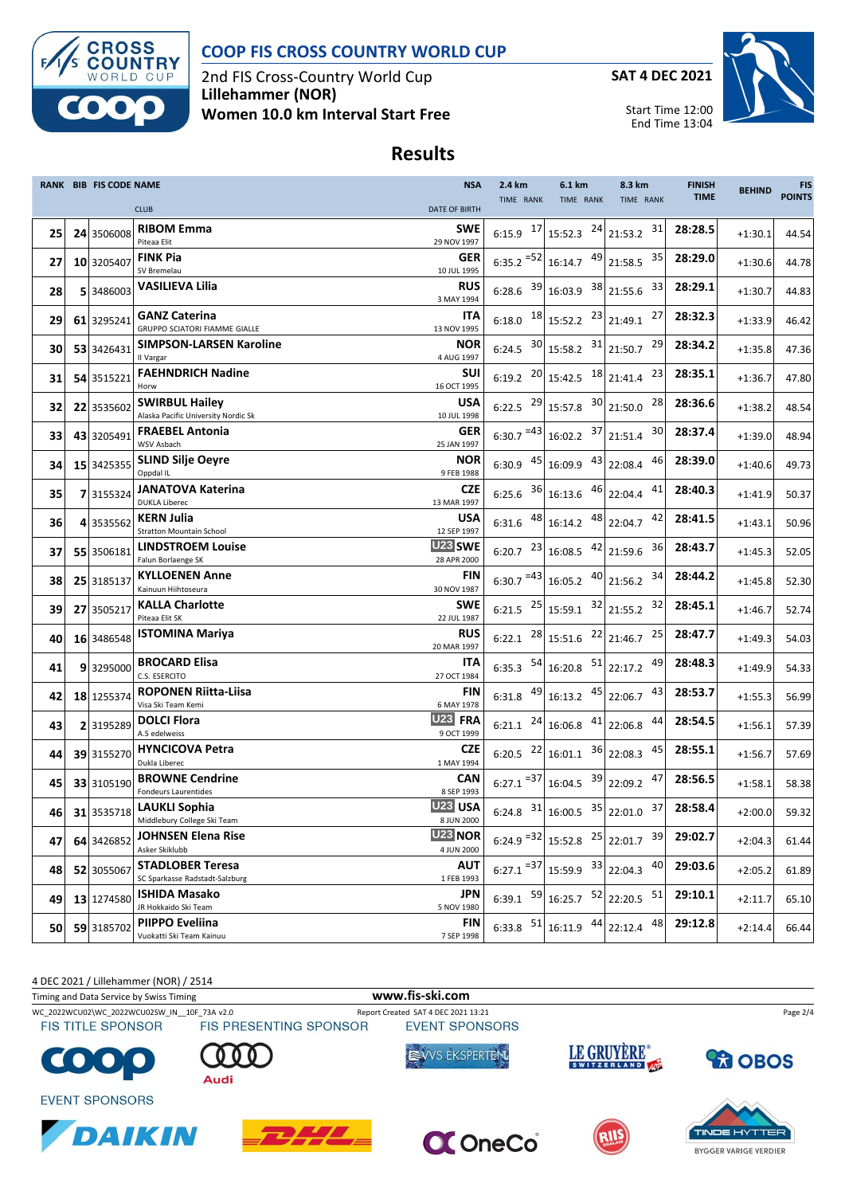

2nd FIS Cross-Country World Cup **Lillehammer (NOR) Women 10.0 km Interval Start Free** **SAT 4 DEC 2021**



Start Time 12:00 End Time 13:04

## **Results**

|    | <b>RANK BIB FIS CODE NAME</b> |                                                                             | <b>NSA</b>                               | 2.4 km                                              | 6.1 km                                                                               | 8.3 km                                               | <b>FINISH</b> | <b>BEHIND</b> | <b>FIS</b>    |
|----|-------------------------------|-----------------------------------------------------------------------------|------------------------------------------|-----------------------------------------------------|--------------------------------------------------------------------------------------|------------------------------------------------------|---------------|---------------|---------------|
|    |                               | <b>CLUB</b>                                                                 | <b>DATE OF BIRTH</b>                     | TIME RANK                                           | TIME RANK                                                                            | TIME RANK                                            | <b>TIME</b>   |               | <b>POINTS</b> |
| 25 | 24 3506008                    | <b>RIBOM Emma</b><br>Piteaa Elit                                            | SWE<br>29 NOV 1997                       | 6:15.9 $17$ 15:52.3                                 | 24                                                                                   | 31<br>21:53.2                                        | 28:28.5       | $+1:30.1$     | 44.54         |
| 27 | 10 3205407                    | <b>FINK Pia</b><br>SV Bremelau                                              | GER<br>10 JUL 1995                       |                                                     | 6:35.2 $^{-52}$ 16:14.7 $^{49}$ 21:58.5                                              | 35                                                   | 28:29.0       | $+1:30.6$     | 44.78         |
| 28 | 5 3486003                     | VASILIEVA Lilia                                                             | <b>RUS</b><br>3 MAY 1994                 |                                                     | 6:28.6 $\begin{array}{c c} 39 & 16:03.9 \end{array}$ 38 21:55.6                      | 33                                                   | 28:29.1       | $+1:30.7$     | 44.83         |
| 29 | 61 3295241                    | <b>GANZ Caterina</b><br><b>GRUPPO SCIATORI FIAMME GIALLE</b>                | ITA<br>13 NOV 1995                       |                                                     | 6:18.0 $18 \mid 15:52.2$ $23 \mid 21:49.1$                                           | 27                                                   | 28:32.3       | $+1:33.9$     | 46.42         |
| 30 | 53 3426431                    | <b>SIMPSON-LARSEN Karoline</b><br>Il Vargar                                 | <b>NOR</b><br>4 AUG 1997                 | 6:24.5 $30 \mid 15:58.2$                            |                                                                                      | 29<br>$31$ 21:50.7                                   | 28:34.2       | $+1:35.8$     | 47.36         |
| 31 | 54 3515221                    | <b>FAEHNDRICH Nadine</b><br>Horw                                            | <b>SUI</b><br>16 OCT 1995                |                                                     | 6:19.2 $^{20}$ 15:42.5 $^{18}$ 21:41.4                                               | 23                                                   | 28:35.1       | $+1:36.7$     | 47.80         |
| 32 | 22 3535602                    | <b>SWIRBUL Hailey</b>                                                       | USA                                      | $6:22.5$ $^{29}$ 15:57.8                            |                                                                                      | $30$ 21:50.0<br>28                                   | 28:36.6       | $+1:38.2$     | 48.54         |
| 33 | 43 3205491                    | Alaska Pacific University Nordic Sk<br><b>FRAEBEL Antonia</b><br>WSV Asbach | 10 JUL 1998<br>GER                       | $6:30.7 = 43$                                       | 37<br>16:02.2                                                                        | 30<br>21:51.4                                        | 28:37.4       | $+1:39.0$     | 48.94         |
| 34 | 15 3425355                    | <b>SLIND Silje Oeyre</b><br>Oppdal IL                                       | 25 JAN 1997<br><b>NOR</b>                | $6:30.9$ $45 \mid 16:09.9$                          |                                                                                      | $43$ 22:08.4<br>46                                   | 28:39.0       | $+1:40.6$     | 49.73         |
| 35 | 7 3155324                     | <b>JANATOVA Katerina</b><br><b>DUKLA Liberec</b>                            | 9 FEB 1988<br>CZE                        | 6:25.6                                              | $36$ 16:13.6<br>46                                                                   | 41<br>22:04.4                                        | 28:40.3       | $+1:41.9$     | 50.37         |
| 36 | 4 3535562                     | <b>KERN Julia</b><br><b>Stratton Mountain School</b>                        | 13 MAR 1997<br><b>USA</b><br>12 SEP 1997 | $6:31.6$ 48                                         | 16:14.2                                                                              | 48 22:04.7<br>42                                     | 28:41.5       | $+1:43.1$     | 50.96         |
| 37 | 55 3506181                    | <b>LINDSTROEM Louise</b>                                                    | U23 SWE                                  | $6:20.7$ $^{23}$ 16:08.5                            | 42                                                                                   | 36<br>21:59.6                                        | 28:43.7       | $+1:45.3$     | 52.05         |
| 38 | 25 3185137                    | Falun Borlaenge SK<br><b>KYLLOENEN Anne</b><br>Kainuun Hiihtoseura          | 28 APR 2000<br>FIN                       | $6:30.7$ <sup>=43</sup> 16:05.2                     | 40                                                                                   | 34<br>21:56.2                                        | 28:44.2       | $+1:45.8$     | 52.30         |
| 39 | 27 3505217                    | <b>KALLA Charlotte</b>                                                      | 30 NOV 1987<br>SWE                       | 6:21.5 $^{25}$ 15:59.1                              |                                                                                      | $32$ 21:55.2<br>32                                   | 28:45.1       | $+1:46.7$     | 52.74         |
| 40 | 16 3486548                    | Piteaa Elit SK<br><b>ISTOMINA Mariya</b>                                    | 22 JUL 1987<br><b>RUS</b>                | 6:22.1                                              | 28 15:51.6                                                                           | $22$ 21:46.7<br>25                                   | 28:47.7       | $+1:49.3$     | 54.03         |
| 41 | 93295000                      | <b>BROCARD Elisa</b><br>C.S. ESERCITO                                       | 20 MAR 1997<br>ITA<br>27 OCT 1984        |                                                     | 6:35.3 $54$ 16:20.8 $51$                                                             | 49<br>22:17.2                                        | 28:48.3       | $+1:49.9$     | 54.33         |
| 42 | 18 1255374                    | <b>ROPONEN Riitta-Liisa</b><br>Visa Ski Team Kemi                           | FIN<br>6 MAY 1978                        |                                                     | 6:31.8 $49$ 16:13.2 $45$                                                             | 43<br>22:06.7                                        | 28:53.7       | $+1:55.3$     | 56.99         |
| 43 | 2 3195289                     | <b>DOLCI Flora</b><br>A.S edelweiss                                         | U23 FRA<br>9 OCT 1999                    | 6:21.1                                              | $24$ 16:06.8<br>41                                                                   | 44<br>22:06.8                                        | 28:54.5       | $+1:56.1$     | 57.39         |
| 44 | 39 3155270                    | <b>HYNCICOVA Petra</b><br>Dukla Liberec                                     | CZE<br>1 MAY 1994                        | $6:20.5 \begin{array}{c} 22 \\ 16:01.1 \end{array}$ |                                                                                      | $36$ 22:08.3<br>45                                   | 28:55.1       | $+1:56.7$     | 57.69         |
| 45 | 33 3105190                    | <b>BROWNE Cendrine</b><br>Fondeurs Laurentides                              | <b>CAN</b><br>8 SEP 1993                 |                                                     | $6:27.1$ <sup>=37</sup> 16:04.5 <sup>39</sup> 22:09.2                                | 47                                                   | 28:56.5       | $+1:58.1$     | 58.38         |
| 46 | 31 3535718                    | LAUKLI Sophia<br>Middlebury College Ski Team                                | U <sub>23</sub> USA<br>8 JUN 2000        |                                                     |                                                                                      | 6:24.8 $31 \mid 16:00.5$ $35 \mid 22:01.0$ $37 \mid$ | 28:58.4       | $+2:00.0$     | 59.32         |
| 47 | 64 3426852                    | JOHNSEN Elena Rise<br>Asker Skiklubb                                        | U <sub>23</sub> NOR<br>4 JUN 2000        | $6:24.9$ <sup>=32</sup>                             | 15:52.8 25 22:01.7                                                                   | 39                                                   | 29:02.7       | $+2:04.3$     | 61.44         |
| 48 | 52 3055067                    | <b>STADLOBER Teresa</b><br>SC Sparkasse Radstadt-Salzburg                   | <b>AUT</b><br>1 FEB 1993                 | $6:27.1$ <sup>=37</sup>                             | 15:59.9                                                                              | $33$ 22:04.3<br>40                                   | 29:03.6       | $+2:05.2$     | 61.89         |
| 49 | 13 1274580                    | <b>ISHIDA Masako</b><br>JR Hokkaido Ski Team                                | JPN<br>5 NOV 1980                        |                                                     | 6:39.1 $\begin{array}{ c c c c c } \hline 59 & 16:25.7 & \hline \end{array}$ 22:20.5 | 51                                                   | 29:10.1       | $+2:11.7$     | 65.10         |
| 50 | 59 3185702                    | <b>PIIPPO Eveliina</b><br>Vuokatti Ski Team Kainuu                          | FIN<br>7 SEP 1998                        | 51<br>6:33.8                                        | 44<br>16:11.9                                                                        | 48<br>22:12.4                                        | 29:12.8       | $+2:14.4$     | 66.44         |

4 DEC 2021 / Lillehammer (NOR) / 2514



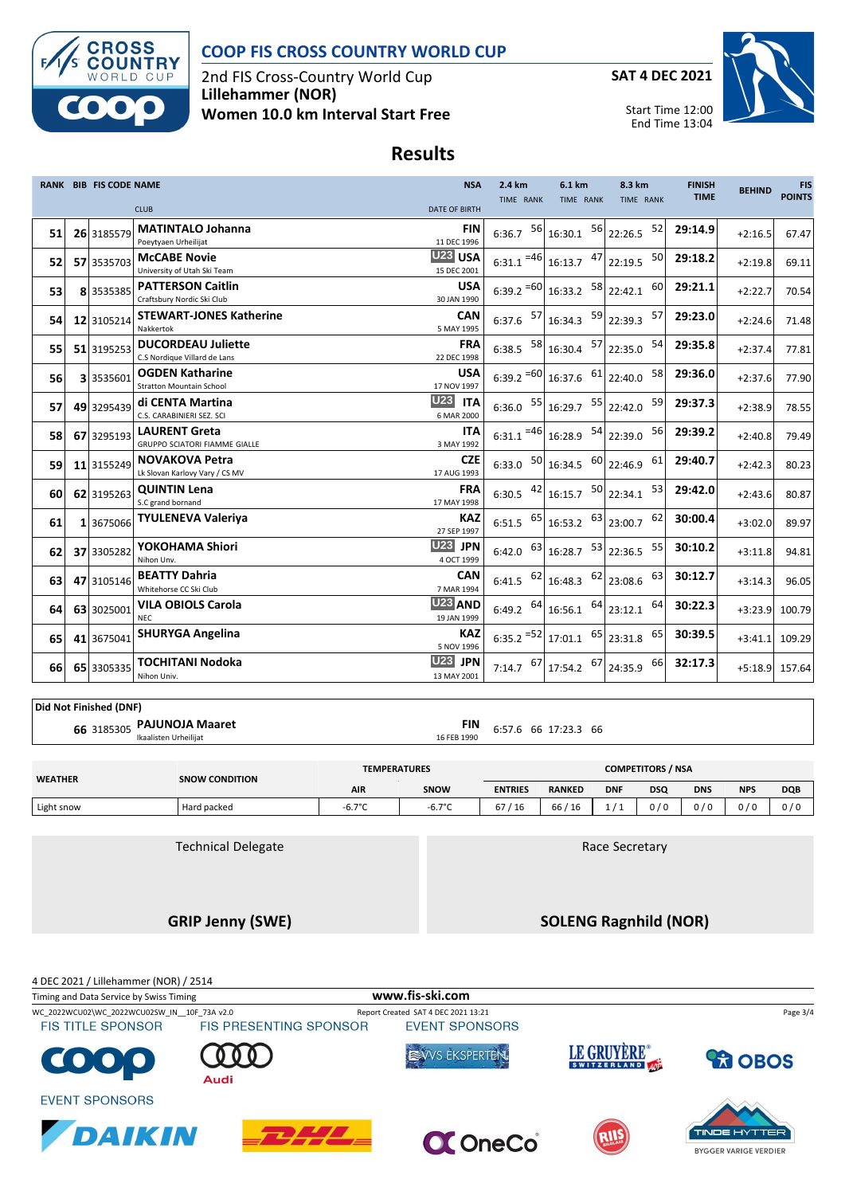

2nd FIS Cross-Country World Cup **Lillehammer (NOR) Women 10.0 km Interval Start Free**





Start Time 12:00 End Time 13:04

### **Results**

|    | RANK BIB FIS CODE NAME |                                                              | <b>NSA</b>                         | 2.4 km                     | 6.1 km                                                                                             | 8.3 km                                                    | <b>FINISH</b> | <b>BEHIND</b> | <b>FIS</b>     |
|----|------------------------|--------------------------------------------------------------|------------------------------------|----------------------------|----------------------------------------------------------------------------------------------------|-----------------------------------------------------------|---------------|---------------|----------------|
|    |                        | <b>CLUB</b>                                                  | <b>DATE OF BIRTH</b>               | TIME RANK                  | TIME RANK                                                                                          | TIME RANK                                                 | <b>TIME</b>   |               | <b>POINTS</b>  |
| 51 | 26 3185579             | <b>MATINTALO Johanna</b><br>Poeytyaen Urheilijat             | <b>FIN</b><br>11 DEC 1996          | $6:36.7$ $56$ 16:30.1      |                                                                                                    | 56 22:26.5<br>52                                          | 29:14.9       | $+2:16.5$     | 67.47          |
| 52 | 57 3535703             | <b>McCABE Novie</b><br>University of Utah Ski Team           | U <sub>23</sub> USA<br>15 DEC 2001 |                            | $6:31.1$ = 46 16:13.7 $47$ 22:19.5                                                                 | 50                                                        | 29:18.2       | $+2:19.8$     | 69.11          |
| 53 | 8 3535385              | <b>PATTERSON Caitlin</b><br>Craftsbury Nordic Ski Club       | <b>USA</b><br>30 JAN 1990          |                            | $6:39.2$ = 60 16:33.2 58 22:42.1                                                                   | 60                                                        | 29:21.1       | $+2:22.7$     | 70.54          |
| 54 | 12 3105214             | <b>STEWART-JONES Katherine</b><br>Nakkertok                  | <b>CAN</b><br>5 MAY 1995           |                            | $6:37.6$ $57$ 16:34.3 $59$ 22:39.3                                                                 | 57                                                        | 29:23.0       | $+2:24.6$     | 71.48          |
| 55 | 51 3195253             | <b>DUCORDEAU Juliette</b><br>C.S Nordique Villard de Lans    | <b>FRA</b><br>22 DEC 1998          | $6:38.5$ $58 \mid 16:30.4$ |                                                                                                    | $\begin{array}{ c c }\n 57 & 22:35.0\n \end{array}$<br>54 | 29:35.8       | $+2:37.4$     | 77.81          |
| 56 | 3 3535601              | <b>OGDEN Katharine</b><br><b>Stratton Mountain School</b>    | <b>USA</b><br>17 NOV 1997          |                            | $6:39.2$ <sup>=60</sup> 16:37.6 <sup>61</sup> 22:40.0                                              | 58                                                        | 29:36.0       | $+2:37.6$     | 77.90          |
| 57 | 49 3295439             | di CENTA Martina<br>C.S. CARABINIERI SEZ. SCI                | <b>U23 ITA</b><br>6 MAR 2000       |                            | $6:36.0$ $55 \begin{bmatrix} 16:29.7 & 55 \end{bmatrix}$ 22:42.0                                   | 59                                                        | 29:37.3       | $+2:38.9$     | 78.55          |
| 58 | 67 3295193             | <b>LAURENT Greta</b><br><b>GRUPPO SCIATORI FIAMME GIALLE</b> | <b>ITA</b><br>3 MAY 1992           |                            | $6:31.1$ = 46 16:28.9 $\left  \frac{54}{22:39.0} \right $                                          | 56                                                        | 29:39.2       | $+2:40.8$     | 79.49          |
| 59 | 11 3155249             | <b>NOVAKOVA Petra</b><br>Lk Slovan Karlovy Vary / CS MV      | <b>CZE</b><br>17 AUG 1993          |                            | 6:33.0 $\begin{array}{ c c c c c } \hline 50 & 16:34.5 & 60 & 22:46.9 \hline \end{array}$          | 61                                                        | 29:40.7       | $+2:42.3$     | 80.23          |
| 60 | 62 3195263             | <b>QUINTIN Lena</b><br>S.C grand bornand                     | <b>FRA</b><br>17 MAY 1998          | $6:30.5$ $42 \mid 16:15.7$ |                                                                                                    | $\frac{50}{22:34.1}$<br>53                                | 29:42.0       | $+2:43.6$     | 80.87          |
| 61 | 3675066                | <b>TYULENEVA Valeriya</b>                                    | <b>KAZ</b><br>27 SEP 1997          |                            | 6:51.5 $\begin{array}{ c c c c c } \hline 65 & 16:53.2 & 63 & 23:00.7 \hline \end{array}$          | 62                                                        | 30:00.4       | $+3:02.0$     | 89.97          |
| 62 | 37 3305282             | YOKOHAMA Shiori<br>Nihon Unv.                                | <b>U23 JPN</b><br>4 OCT 1999       |                            | 6:42.0 $\begin{array}{ c c c c c } \hline 63 & 16:28.7 & \end{array}$ 22:36.5                      | 55                                                        | 30:10.2       | $+3:11.8$     | 94.81          |
| 63 | 47 3105146             | <b>BEATTY Dahria</b><br>Whitehorse CC Ski Club               | <b>CAN</b><br>7 MAR 1994           | $6:41.5$ $62 \mid 16:48.3$ |                                                                                                    | $62$ 23:08.6<br>63                                        | 30:12.7       | $+3:14.3$     | 96.05          |
| 64 | 63 3025001             | <b>VILA OBIOLS Carola</b><br><b>NEC</b>                      | U <sub>23</sub> AND<br>19 JAN 1999 |                            | 6:49.2 $\begin{bmatrix} 64 \\ 16:56.1 \end{bmatrix}$ $\begin{bmatrix} 64 \\ 23:12.1 \end{bmatrix}$ | 64                                                        | 30:22.3       | $+3:23.9$     | 100.79         |
| 65 | 41 3675041             | <b>SHURYGA Angelina</b>                                      | <b>KAZ</b><br>5 NOV 1996           |                            | $6:35.2$ = $52$ 17:01.1 $65$ 23:31.8                                                               | 65                                                        | 30:39.5       | $+3:41.1$     | 109.29         |
| 66 | 65 3305335             | <b>TOCHITANI Nodoka</b><br>Nihon Univ.                       | <b>U23 JPN</b><br>13 MAY 2001      |                            | 7:14.7 $\begin{array}{ c c c c c } \hline 67 & 17:54.2 & 67 & 24:35.9 \hline \end{array}$          | 66                                                        | 32:17.3       |               | +5:18.9 157.64 |

**Did Not Finished (DNF)**

**PAJUNOJA Maaret FIN** 6:57.6 66 17:23.3 66<br>16 FEB 1990 **66** 17:23.3 66

| <b>WEATHER</b> | <b>SNOW CONDITION</b> | <b>TEMPERATURES</b> |                  | <b>COMPETITORS / NSA</b> |               |            |            |            |            |            |
|----------------|-----------------------|---------------------|------------------|--------------------------|---------------|------------|------------|------------|------------|------------|
|                |                       |                     | SNOW             | <b>ENTRIES</b>           | <b>RANKED</b> | <b>DNF</b> | <b>DSQ</b> | <b>DNS</b> | <b>NPS</b> | <b>DQB</b> |
| Light snow     | Hard packed           | $-6.7^{\circ}$ C    | $-6.7^{\circ}$ C | 67/16                    | 66/<br>16 '   |            | 0/0        | 0/0        | 0/0        | 0/0        |
|                |                       |                     |                  |                          |               |            |            |            |            |            |

Technical Delegate

**GRIP Jenny (SWE)**

Race Secretary

**SOLENG Ragnhild (NOR)**

4 DEC 2021 / Lillehammer (NOR) / 2514